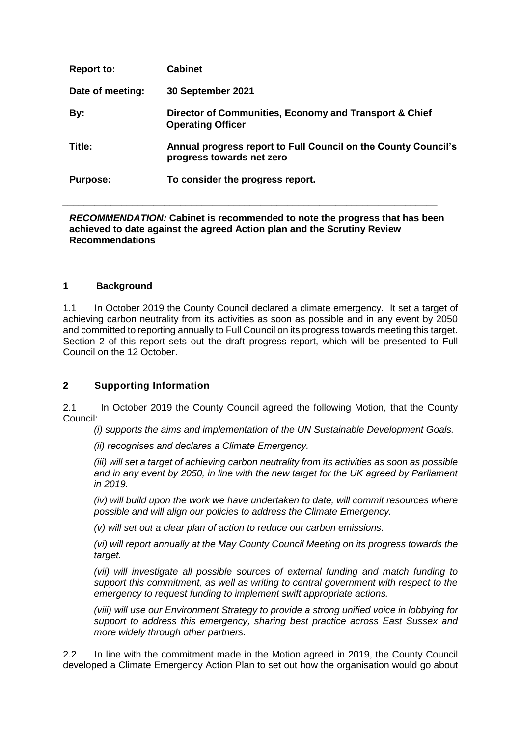| <b>Report to:</b> | <b>Cabinet</b>                                                                              |
|-------------------|---------------------------------------------------------------------------------------------|
| Date of meeting:  | 30 September 2021                                                                           |
| By:               | Director of Communities, Economy and Transport & Chief<br><b>Operating Officer</b>          |
| Title:            | Annual progress report to Full Council on the County Council's<br>progress towards net zero |
| <b>Purpose:</b>   | To consider the progress report.                                                            |

#### *RECOMMENDATION:* **Cabinet is recommended to note the progress that has been achieved to date against the agreed Action plan and the Scrutiny Review Recommendations**

*\_\_\_\_\_\_\_\_\_\_\_\_\_\_\_\_\_\_\_\_\_\_\_\_\_\_\_\_\_\_\_\_\_\_\_\_\_\_\_\_\_\_\_\_\_\_\_\_\_\_\_\_\_\_\_\_\_\_\_\_\_\_\_\_\_\_\_\_\_\_*

#### **1 Background**

1.1 In October 2019 the County Council declared a climate emergency. It set a target of achieving carbon neutrality from its activities as soon as possible and in any event by 2050 and committed to reporting annually to Full Council on its progress towards meeting this target. Section 2 of this report sets out the draft progress report, which will be presented to Full Council on the 12 October.

#### **2 Supporting Information**

2.1 In October 2019 the County Council agreed the following Motion, that the County Council:

*(i) supports the aims and implementation of the UN Sustainable Development Goals.*

*(ii) recognises and declares a Climate Emergency.*

*(iii) will set a target of achieving carbon neutrality from its activities as soon as possible and in any event by 2050, in line with the new target for the UK agreed by Parliament in 2019.*

*(iv) will build upon the work we have undertaken to date, will commit resources where possible and will align our policies to address the Climate Emergency.*

*(v) will set out a clear plan of action to reduce our carbon emissions.*

*(vi) will report annually at the May County Council Meeting on its progress towards the target.* 

*(vii) will investigate all possible sources of external funding and match funding to support this commitment, as well as writing to central government with respect to the emergency to request funding to implement swift appropriate actions.*

*(viii) will use our Environment Strategy to provide a strong unified voice in lobbying for support to address this emergency, sharing best practice across East Sussex and more widely through other partners.*

2.2 In line with the commitment made in the Motion agreed in 2019, the County Council developed a Climate Emergency Action Plan to set out how the organisation would go about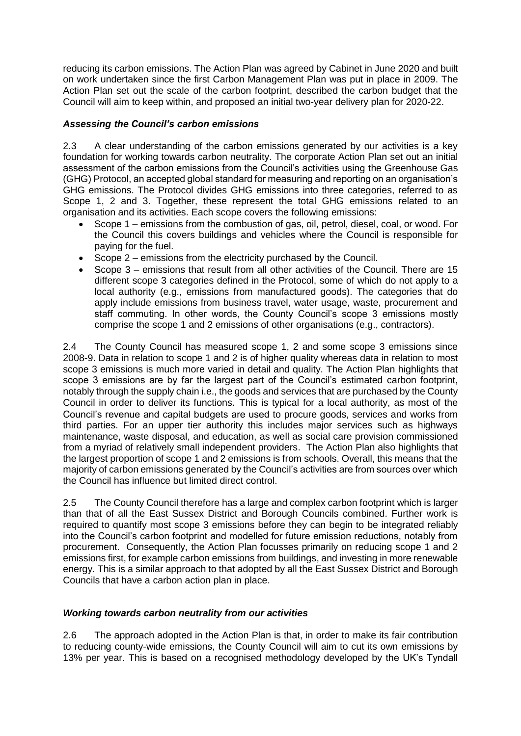reducing its carbon emissions. The Action Plan was agreed by Cabinet in June 2020 and built on work undertaken since the first Carbon Management Plan was put in place in 2009. The Action Plan set out the scale of the carbon footprint, described the carbon budget that the Council will aim to keep within, and proposed an initial two-year delivery plan for 2020-22.

### *Assessing the Council's carbon emissions*

2.3 A clear understanding of the carbon emissions generated by our activities is a key foundation for working towards carbon neutrality. The corporate Action Plan set out an initial assessment of the carbon emissions from the Council's activities using the Greenhouse Gas (GHG) Protocol, an accepted global standard for measuring and reporting on an organisation's GHG emissions. The Protocol divides GHG emissions into three categories, referred to as Scope 1, 2 and 3. Together, these represent the total GHG emissions related to an organisation and its activities. Each scope covers the following emissions:

- Scope 1 emissions from the combustion of gas, oil, petrol, diesel, coal, or wood. For the Council this covers buildings and vehicles where the Council is responsible for paying for the fuel.
- Scope 2 emissions from the electricity purchased by the Council.
- Scope 3 emissions that result from all other activities of the Council. There are 15 different scope 3 categories defined in the Protocol, some of which do not apply to a local authority (e.g., emissions from manufactured goods). The categories that do apply include emissions from business travel, water usage, waste, procurement and staff commuting. In other words, the County Council's scope 3 emissions mostly comprise the scope 1 and 2 emissions of other organisations (e.g., contractors).

2.4 The County Council has measured scope 1, 2 and some scope 3 emissions since 2008-9. Data in relation to scope 1 and 2 is of higher quality whereas data in relation to most scope 3 emissions is much more varied in detail and quality. The Action Plan highlights that scope 3 emissions are by far the largest part of the Council's estimated carbon footprint, notably through the supply chain i.e., the goods and services that are purchased by the County Council in order to deliver its functions*.* This is typical for a local authority, as most of the Council's revenue and capital budgets are used to procure goods, services and works from third parties. For an upper tier authority this includes major services such as highways maintenance, waste disposal, and education, as well as social care provision commissioned from a myriad of relatively small independent providers. The Action Plan also highlights that the largest proportion of scope 1 and 2 emissions is from schools. Overall, this means that the majority of carbon emissions generated by the Council's activities are from sources over which the Council has influence but limited direct control.

2.5 The County Council therefore has a large and complex carbon footprint which is larger than that of all the East Sussex District and Borough Councils combined. Further work is required to quantify most scope 3 emissions before they can begin to be integrated reliably into the Council's carbon footprint and modelled for future emission reductions, notably from procurement. Consequently, the Action Plan focusses primarily on reducing scope 1 and 2 emissions first, for example carbon emissions from buildings, and investing in more renewable energy. This is a similar approach to that adopted by all the East Sussex District and Borough Councils that have a carbon action plan in place.

# *Working towards carbon neutrality from our activities*

2.6 The approach adopted in the Action Plan is that, in order to make its fair contribution to reducing county-wide emissions, the County Council will aim to cut its own emissions by 13% per year. This is based on a recognised methodology developed by the UK's Tyndall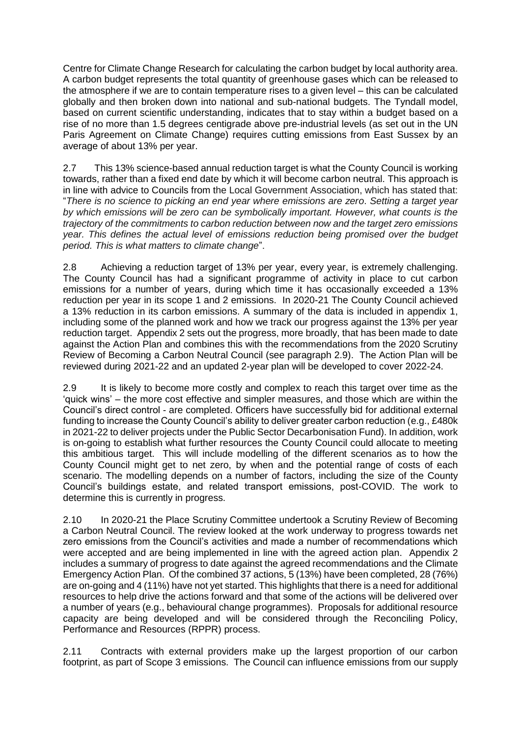Centre for Climate Change Research for calculating the carbon budget by local authority area. A carbon budget represents the total quantity of greenhouse gases which can be released to the atmosphere if we are to contain temperature rises to a given level – this can be calculated globally and then broken down into national and sub-national budgets. The Tyndall model, based on current scientific understanding, indicates that to stay within a budget based on a rise of no more than 1.5 degrees centigrade above pre-industrial levels (as set out in the UN Paris Agreement on Climate Change) requires cutting emissions from East Sussex by an average of about 13% per year.

2.7 This 13% science-based annual reduction target is what the County Council is working towards, rather than a fixed end date by which it will become carbon neutral. This approach is in line with advice to Councils from the Local Government Association, which has stated that: "*There is no science to picking an end year where emissions are zero*. *Setting a target year by which emissions will be zero can be symbolically important. However, what counts is the trajectory of the commitments to carbon reduction between now and the target zero emissions year. This defines the actual level of emissions reduction being promised over the budget period. This is what matters to climate change*".

2.8 Achieving a reduction target of 13% per year, every year, is extremely challenging. The County Council has had a significant programme of activity in place to cut carbon emissions for a number of years, during which time it has occasionally exceeded a 13% reduction per year in its scope 1 and 2 emissions. In 2020-21 The County Council achieved a 13% reduction in its carbon emissions. A summary of the data is included in appendix 1, including some of the planned work and how we track our progress against the 13% per year reduction target. Appendix 2 sets out the progress, more broadly, that has been made to date against the Action Plan and combines this with the recommendations from the 2020 Scrutiny Review of Becoming a Carbon Neutral Council (see paragraph 2.9). The Action Plan will be reviewed during 2021-22 and an updated 2-year plan will be developed to cover 2022-24.

2.9 It is likely to become more costly and complex to reach this target over time as the 'quick wins' – the more cost effective and simpler measures, and those which are within the Council's direct control - are completed. Officers have successfully bid for additional external funding to increase the County Council's ability to deliver greater carbon reduction (e.g., £480k in 2021-22 to deliver projects under the Public Sector Decarbonisation Fund). In addition, work is on-going to establish what further resources the County Council could allocate to meeting this ambitious target. This will include modelling of the different scenarios as to how the County Council might get to net zero, by when and the potential range of costs of each scenario. The modelling depends on a number of factors, including the size of the County Council's buildings estate, and related transport emissions, post-COVID. The work to determine this is currently in progress.

2.10 In 2020-21 the Place Scrutiny Committee undertook a Scrutiny Review of Becoming a Carbon Neutral Council. The review looked at the work underway to progress towards net zero emissions from the Council's activities and made a number of recommendations which were accepted and are being implemented in line with the agreed action plan. Appendix 2 includes a summary of progress to date against the agreed recommendations and the Climate Emergency Action Plan. Of the combined 37 actions, 5 (13%) have been completed, 28 (76%) are on-going and 4 (11%) have not yet started. This highlights that there is a need for additional resources to help drive the actions forward and that some of the actions will be delivered over a number of years (e.g., behavioural change programmes). Proposals for additional resource capacity are being developed and will be considered through the Reconciling Policy, Performance and Resources (RPPR) process.

2.11 Contracts with external providers make up the largest proportion of our carbon footprint, as part of Scope 3 emissions. The Council can influence emissions from our supply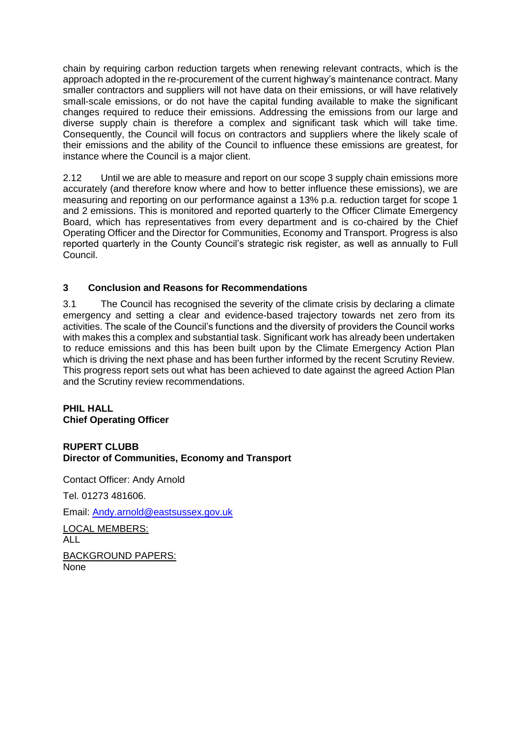chain by requiring carbon reduction targets when renewing relevant contracts, which is the approach adopted in the re-procurement of the current highway's maintenance contract. Many smaller contractors and suppliers will not have data on their emissions, or will have relatively small-scale emissions, or do not have the capital funding available to make the significant changes required to reduce their emissions. Addressing the emissions from our large and diverse supply chain is therefore a complex and significant task which will take time. Consequently, the Council will focus on contractors and suppliers where the likely scale of their emissions and the ability of the Council to influence these emissions are greatest, for instance where the Council is a major client.

2.12 Until we are able to measure and report on our scope 3 supply chain emissions more accurately (and therefore know where and how to better influence these emissions), we are measuring and reporting on our performance against a 13% p.a. reduction target for scope 1 and 2 emissions. This is monitored and reported quarterly to the Officer Climate Emergency Board, which has representatives from every department and is co-chaired by the Chief Operating Officer and the Director for Communities, Economy and Transport. Progress is also reported quarterly in the County Council's strategic risk register, as well as annually to Full Council.

### **3 Conclusion and Reasons for Recommendations**

3.1 The Council has recognised the severity of the climate crisis by declaring a climate emergency and setting a clear and evidence-based trajectory towards net zero from its activities. The scale of the Council's functions and the diversity of providers the Council works with makes this a complex and substantial task. Significant work has already been undertaken to reduce emissions and this has been built upon by the Climate Emergency Action Plan which is driving the next phase and has been further informed by the recent Scrutiny Review. This progress report sets out what has been achieved to date against the agreed Action Plan and the Scrutiny review recommendations.

#### **PHIL HALL Chief Operating Officer**

### **RUPERT CLUBB Director of Communities, Economy and Transport**

Contact Officer: Andy Arnold

Tel. 01273 481606.

Email: [Andy.arnold@eastsussex.gov.uk](mailto:Andy.arnold@eastsussex.gov.uk)

LOCAL MEMBERS: ALL BACKGROUND PAPERS: None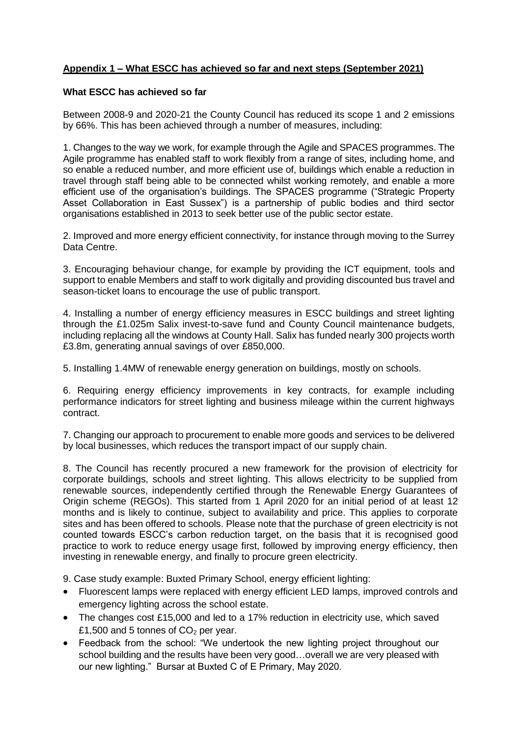# **Appendix 1 – What ESCC has achieved so far and next steps (September 2021)**

#### **What ESCC has achieved so far**

Between 2008-9 and 2020-21 the County Council has reduced its scope 1 and 2 emissions by 66%. This has been achieved through a number of measures, including:

1. Changes to the way we work, for example through the Agile and SPACES programmes. The Agile programme has enabled staff to work flexibly from a range of sites, including home, and so enable a reduced number, and more efficient use of, buildings which enable a reduction in travel through staff being able to be connected whilst working remotely, and enable a more efficient use of the organisation's buildings. The SPACES programme ("Strategic Property Asset Collaboration in East Sussex") is a partnership of public bodies and third sector organisations established in 2013 to seek better use of the public sector estate.

2. Improved and more energy efficient connectivity, for instance through moving to the Surrey Data Centre.

3. Encouraging behaviour change, for example by providing the ICT equipment, tools and support to enable Members and staff to work digitally and providing discounted bus travel and season-ticket loans to encourage the use of public transport.

4. Installing a number of energy efficiency measures in ESCC buildings and street lighting through the £1.025m Salix invest-to-save fund and County Council maintenance budgets, including replacing all the windows at County Hall. Salix has funded nearly 300 projects worth £3.8m, generating annual savings of over £850,000.

5. Installing 1.4MW of renewable energy generation on buildings, mostly on schools.

6. Requiring energy efficiency improvements in key contracts, for example including performance indicators for street lighting and business mileage within the current highways contract.

7. Changing our approach to procurement to enable more goods and services to be delivered by local businesses, which reduces the transport impact of our supply chain.

8. The Council has recently procured a new framework for the provision of electricity for corporate buildings, schools and street lighting. This allows electricity to be supplied from renewable sources, independently certified through the Renewable Energy Guarantees of Origin scheme (REGOs). This started from 1 April 2020 for an initial period of at least 12 months and is likely to continue, subject to availability and price. This applies to corporate sites and has been offered to schools. Please note that the purchase of green electricity is not counted towards ESCC's carbon reduction target, on the basis that it is recognised good practice to work to reduce energy usage first, followed by improving energy efficiency, then investing in renewable energy, and finally to procure green electricity.

9. Case study example: Buxted Primary School, energy efficient lighting:

- Fluorescent lamps were replaced with energy efficient LED lamps, improved controls and emergency lighting across the school estate.
- The changes cost £15,000 and led to a 17% reduction in electricity use, which saved £1,500 and 5 tonnes of  $CO<sub>2</sub>$  per year.
- Feedback from the school: "We undertook the new lighting project throughout our school building and the results have been very good…overall we are very pleased with our new lighting." Bursar at Buxted C of E Primary, May 2020.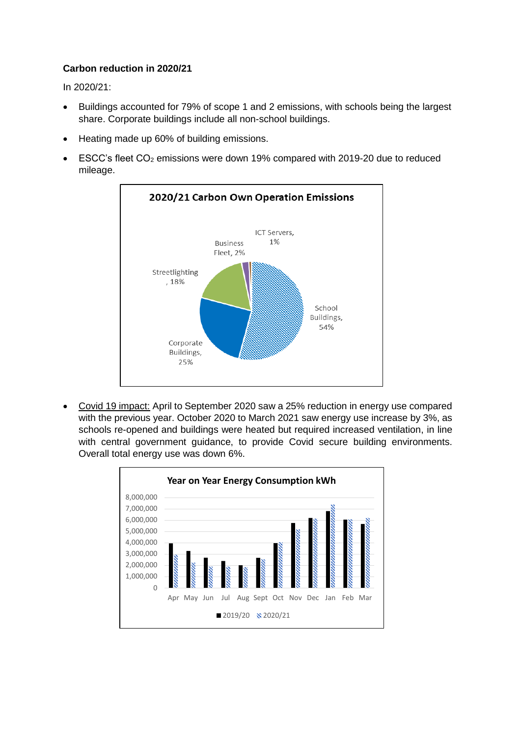# **Carbon reduction in 2020/21**

In 2020/21:

- Buildings accounted for 79% of scope 1 and 2 emissions, with schools being the largest share. Corporate buildings include all non-school buildings.
- Heating made up 60% of building emissions.
- ESCC's fleet CO<sup>2</sup> emissions were down 19% compared with 2019-20 due to reduced mileage.



Covid 19 impact: April to September 2020 saw a 25% reduction in energy use compared with the previous year. October 2020 to March 2021 saw energy use increase by 3%, as schools re-opened and buildings were heated but required increased ventilation, in line with central government guidance, to provide Covid secure building environments. Overall total energy use was down 6%.

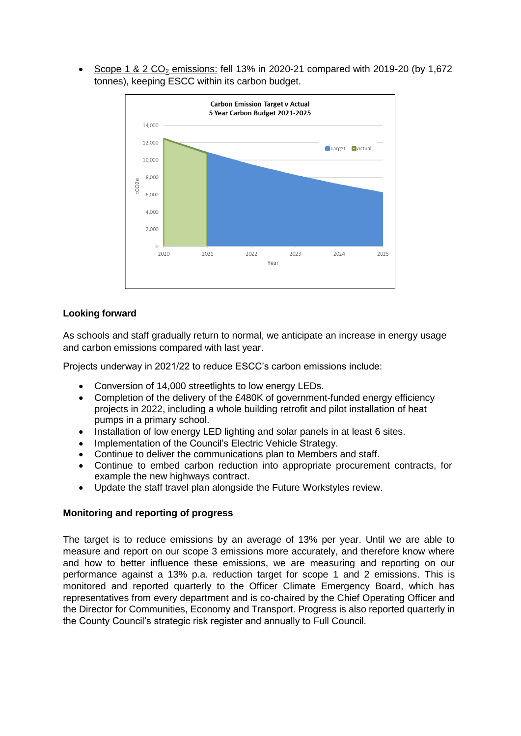Scope 1 & 2 CO<sub>2</sub> emissions: fell 13% in 2020-21 compared with 2019-20 (by 1,672 tonnes), keeping ESCC within its carbon budget.



### **Looking forward**

As schools and staff gradually return to normal, we anticipate an increase in energy usage and carbon emissions compared with last year.

Projects underway in 2021/22 to reduce ESCC's carbon emissions include:

- Conversion of 14,000 streetlights to low energy LEDs.
- Completion of the delivery of the £480K of government-funded energy efficiency projects in 2022, including a whole building retrofit and pilot installation of heat pumps in a primary school.
- Installation of low energy LED lighting and solar panels in at least 6 sites.
- Implementation of the Council's Electric Vehicle Strategy.
- Continue to deliver the communications plan to Members and staff.
- Continue to embed carbon reduction into appropriate procurement contracts, for example the new highways contract.
- Update the staff travel plan alongside the Future Workstyles review.

#### **Monitoring and reporting of progress**

The target is to reduce emissions by an average of 13% per year. Until we are able to measure and report on our scope 3 emissions more accurately, and therefore know where and how to better influence these emissions, we are measuring and reporting on our performance against a 13% p.a. reduction target for scope 1 and 2 emissions. This is monitored and reported quarterly to the Officer Climate Emergency Board, which has representatives from every department and is co-chaired by the Chief Operating Officer and the Director for Communities, Economy and Transport. Progress is also reported quarterly in the County Council's strategic risk register and annually to Full Council.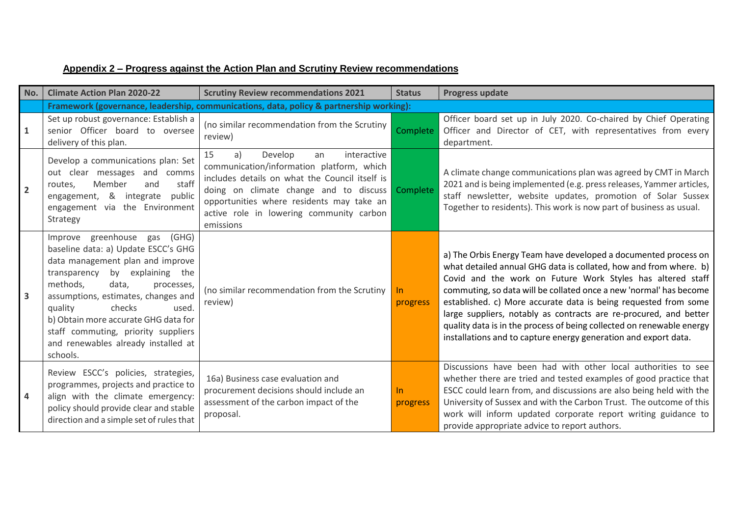| No.            | <b>Climate Action Plan 2020-22</b>                                                                                                                                                                                                                                                                                                                                                     | <b>Scrutiny Review recommendations 2021</b>                                                                                                                                                                                                                                             | <b>Status</b>   | <b>Progress update</b>                                                                                                                                                                                                                                                                                                                                                                                                                                                                                                                                       |
|----------------|----------------------------------------------------------------------------------------------------------------------------------------------------------------------------------------------------------------------------------------------------------------------------------------------------------------------------------------------------------------------------------------|-----------------------------------------------------------------------------------------------------------------------------------------------------------------------------------------------------------------------------------------------------------------------------------------|-----------------|--------------------------------------------------------------------------------------------------------------------------------------------------------------------------------------------------------------------------------------------------------------------------------------------------------------------------------------------------------------------------------------------------------------------------------------------------------------------------------------------------------------------------------------------------------------|
|                |                                                                                                                                                                                                                                                                                                                                                                                        | Framework (governance, leadership, communications, data, policy & partnership working):                                                                                                                                                                                                 |                 |                                                                                                                                                                                                                                                                                                                                                                                                                                                                                                                                                              |
| 1              | Set up robust governance: Establish a<br>senior Officer board to oversee<br>delivery of this plan.                                                                                                                                                                                                                                                                                     | (no similar recommendation from the Scrutiny<br>review)                                                                                                                                                                                                                                 | <b>Complete</b> | Officer board set up in July 2020. Co-chaired by Chief Operating<br>Officer and Director of CET, with representatives from every<br>department.                                                                                                                                                                                                                                                                                                                                                                                                              |
| $\overline{2}$ | Develop a communications plan: Set<br>out clear messages and comms<br>staff<br>Member<br>and<br>routes,<br>engagement, & integrate<br>public<br>engagement via the Environment<br>Strategy                                                                                                                                                                                             | 15<br>interactive<br>a)<br>Develop<br>an<br>communication/information platform, which<br>includes details on what the Council itself is<br>doing on climate change and to discuss<br>opportunities where residents may take an<br>active role in lowering community carbon<br>emissions | Complete        | A climate change communications plan was agreed by CMT in March<br>2021 and is being implemented (e.g. press releases, Yammer articles,<br>staff newsletter, website updates, promotion of Solar Sussex<br>Together to residents). This work is now part of business as usual.                                                                                                                                                                                                                                                                               |
| 3              | Improve greenhouse gas (GHG)<br>baseline data: a) Update ESCC's GHG<br>data management plan and improve<br>by explaining the<br>transparency<br>methods,<br>data,<br>processes,<br>assumptions, estimates, changes and<br>checks<br>used.<br>quality<br>b) Obtain more accurate GHG data for<br>staff commuting, priority suppliers<br>and renewables already installed at<br>schools. | (no similar recommendation from the Scrutiny<br>review)                                                                                                                                                                                                                                 | In<br>progress  | a) The Orbis Energy Team have developed a documented process on<br>what detailed annual GHG data is collated, how and from where. b)<br>Covid and the work on Future Work Styles has altered staff<br>commuting, so data will be collated once a new 'normal' has become<br>established. c) More accurate data is being requested from some<br>large suppliers, notably as contracts are re-procured, and better<br>quality data is in the process of being collected on renewable energy<br>installations and to capture energy generation and export data. |
| 4              | Review ESCC's policies, strategies,<br>programmes, projects and practice to<br>align with the climate emergency:<br>policy should provide clear and stable<br>direction and a simple set of rules that                                                                                                                                                                                 | 16a) Business case evaluation and<br>procurement decisions should include an<br>assessment of the carbon impact of the<br>proposal.                                                                                                                                                     | In<br>progress  | Discussions have been had with other local authorities to see<br>whether there are tried and tested examples of good practice that<br>ESCC could learn from, and discussions are also being held with the<br>University of Sussex and with the Carbon Trust. The outcome of this<br>work will inform updated corporate report writing guidance to<br>provide appropriate advice to report authors.                                                                                                                                                           |

# **Appendix 2 – Progress against the Action Plan and Scrutiny Review recommendations**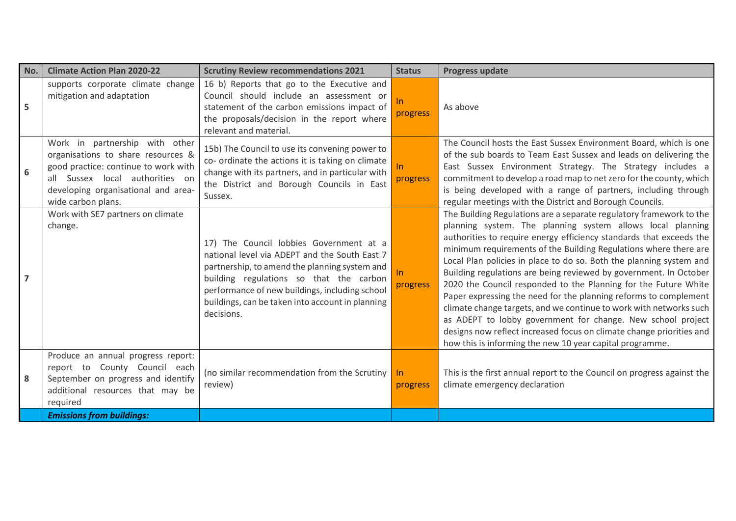| No.            | <b>Climate Action Plan 2020-22</b>                                                                                                                                                                           | <b>Scrutiny Review recommendations 2021</b>                                                                                                                                                                                                                                                              | <b>Status</b>     | <b>Progress update</b>                                                                                                                                                                                                                                                                                                                                                                                                                                                                                                                                                                                                                                                                                                                                                                                                                   |
|----------------|--------------------------------------------------------------------------------------------------------------------------------------------------------------------------------------------------------------|----------------------------------------------------------------------------------------------------------------------------------------------------------------------------------------------------------------------------------------------------------------------------------------------------------|-------------------|------------------------------------------------------------------------------------------------------------------------------------------------------------------------------------------------------------------------------------------------------------------------------------------------------------------------------------------------------------------------------------------------------------------------------------------------------------------------------------------------------------------------------------------------------------------------------------------------------------------------------------------------------------------------------------------------------------------------------------------------------------------------------------------------------------------------------------------|
| 5              | supports corporate climate change<br>mitigation and adaptation                                                                                                                                               | 16 b) Reports that go to the Executive and<br>Council should include an assessment or<br>statement of the carbon emissions impact of<br>the proposals/decision in the report where<br>relevant and material.                                                                                             | In.<br>progress   | As above                                                                                                                                                                                                                                                                                                                                                                                                                                                                                                                                                                                                                                                                                                                                                                                                                                 |
| 6              | Work in partnership with other<br>organisations to share resources &<br>good practice: continue to work with<br>all Sussex local authorities on<br>developing organisational and area-<br>wide carbon plans. | 15b) The Council to use its convening power to<br>co- ordinate the actions it is taking on climate<br>change with its partners, and in particular with<br>the District and Borough Councils in East<br>Sussex.                                                                                           | In.<br>progress   | The Council hosts the East Sussex Environment Board, which is one<br>of the sub boards to Team East Sussex and leads on delivering the<br>East Sussex Environment Strategy. The Strategy includes a<br>commitment to develop a road map to net zero for the county, which<br>is being developed with a range of partners, including through<br>regular meetings with the District and Borough Councils.                                                                                                                                                                                                                                                                                                                                                                                                                                  |
| $\overline{ }$ | Work with SE7 partners on climate<br>change.                                                                                                                                                                 | 17) The Council lobbies Government at a<br>national level via ADEPT and the South East 7<br>partnership, to amend the planning system and<br>building regulations so that the carbon<br>performance of new buildings, including school<br>buildings, can be taken into account in planning<br>decisions. | In.<br>progress   | The Building Regulations are a separate regulatory framework to the<br>planning system. The planning system allows local planning<br>authorities to require energy efficiency standards that exceeds the<br>minimum requirements of the Building Regulations where there are<br>Local Plan policies in place to do so. Both the planning system and<br>Building regulations are being reviewed by government. In October<br>2020 the Council responded to the Planning for the Future White<br>Paper expressing the need for the planning reforms to complement<br>climate change targets, and we continue to work with networks such<br>as ADEPT to lobby government for change. New school project<br>designs now reflect increased focus on climate change priorities and<br>how this is informing the new 10 year capital programme. |
| 8              | Produce an annual progress report:<br>report to County Council each<br>September on progress and identify<br>additional resources that may be<br>required                                                    | (no similar recommendation from the Scrutiny<br>review)                                                                                                                                                                                                                                                  | $\ln$<br>progress | This is the first annual report to the Council on progress against the<br>climate emergency declaration                                                                                                                                                                                                                                                                                                                                                                                                                                                                                                                                                                                                                                                                                                                                  |
|                | <b>Emissions from buildings:</b>                                                                                                                                                                             |                                                                                                                                                                                                                                                                                                          |                   |                                                                                                                                                                                                                                                                                                                                                                                                                                                                                                                                                                                                                                                                                                                                                                                                                                          |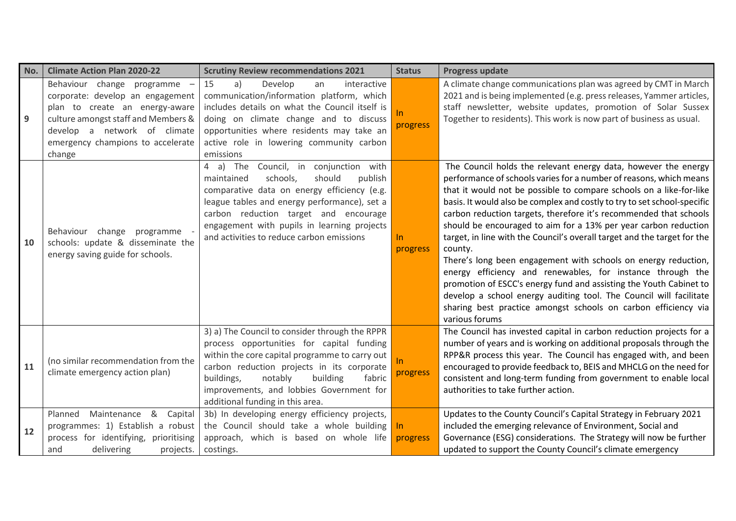| No. | <b>Climate Action Plan 2020-22</b>                                                                                                                                                                                     | <b>Scrutiny Review recommendations 2021</b>                                                                                                                                                                                                                                                                                    | <b>Status</b>   | Progress update                                                                                                                                                                                                                                                                                                                                                                                                                                                                                                                                                                                                                                                                                                                                                                                                                                                                        |
|-----|------------------------------------------------------------------------------------------------------------------------------------------------------------------------------------------------------------------------|--------------------------------------------------------------------------------------------------------------------------------------------------------------------------------------------------------------------------------------------------------------------------------------------------------------------------------|-----------------|----------------------------------------------------------------------------------------------------------------------------------------------------------------------------------------------------------------------------------------------------------------------------------------------------------------------------------------------------------------------------------------------------------------------------------------------------------------------------------------------------------------------------------------------------------------------------------------------------------------------------------------------------------------------------------------------------------------------------------------------------------------------------------------------------------------------------------------------------------------------------------------|
| 9   | Behaviour change programme<br>corporate: develop an engagement<br>plan to create an energy-aware<br>culture amongst staff and Members &<br>develop a network of climate<br>emergency champions to accelerate<br>change | Develop<br>15<br>a)<br>interactive<br>an<br>communication/information platform, which<br>includes details on what the Council itself is<br>doing on climate change and to discuss<br>opportunities where residents may take an<br>active role in lowering community carbon<br>emissions                                        | In<br>progress  | A climate change communications plan was agreed by CMT in March<br>2021 and is being implemented (e.g. press releases, Yammer articles,<br>staff newsletter, website updates, promotion of Solar Sussex<br>Together to residents). This work is now part of business as usual.                                                                                                                                                                                                                                                                                                                                                                                                                                                                                                                                                                                                         |
| 10  | Behaviour change programme<br>schools: update & disseminate the<br>energy saving guide for schools.                                                                                                                    | 4 a) The<br>Council, in<br>conjunction with<br>schools,<br>should<br>publish<br>maintained<br>comparative data on energy efficiency (e.g.<br>league tables and energy performance), set a<br>carbon reduction target and encourage<br>engagement with pupils in learning projects<br>and activities to reduce carbon emissions | In<br>progress  | The Council holds the relevant energy data, however the energy<br>performance of schools varies for a number of reasons, which means<br>that it would not be possible to compare schools on a like-for-like<br>basis. It would also be complex and costly to try to set school-specific<br>carbon reduction targets, therefore it's recommended that schools<br>should be encouraged to aim for a 13% per year carbon reduction<br>target, in line with the Council's overall target and the target for the<br>county.<br>There's long been engagement with schools on energy reduction,<br>energy efficiency and renewables, for instance through the<br>promotion of ESCC's energy fund and assisting the Youth Cabinet to<br>develop a school energy auditing tool. The Council will facilitate<br>sharing best practice amongst schools on carbon efficiency via<br>various forums |
| 11  | (no similar recommendation from the<br>climate emergency action plan)                                                                                                                                                  | 3) a) The Council to consider through the RPPR<br>process opportunities for capital funding<br>within the core capital programme to carry out<br>carbon reduction projects in its corporate<br>buildings,<br>notably<br>building<br>fabric<br>improvements, and lobbies Government for<br>additional funding in this area.     | In.<br>progress | The Council has invested capital in carbon reduction projects for a<br>number of years and is working on additional proposals through the<br>RPP&R process this year. The Council has engaged with, and been<br>encouraged to provide feedback to, BEIS and MHCLG on the need for<br>consistent and long-term funding from government to enable local<br>authorities to take further action.                                                                                                                                                                                                                                                                                                                                                                                                                                                                                           |
| 12  | Planned<br>Maintenance<br>8 <sub>k</sub><br>Capital<br>programmes: 1) Establish a robust<br>process for identifying,<br>prioritising<br>delivering<br>and<br>projects.                                                 | 3b) In developing energy efficiency projects,<br>the Council should take a whole building<br>approach, which is based on whole life<br>costings.                                                                                                                                                                               | In<br>progress  | Updates to the County Council's Capital Strategy in February 2021<br>included the emerging relevance of Environment, Social and<br>Governance (ESG) considerations. The Strategy will now be further<br>updated to support the County Council's climate emergency                                                                                                                                                                                                                                                                                                                                                                                                                                                                                                                                                                                                                      |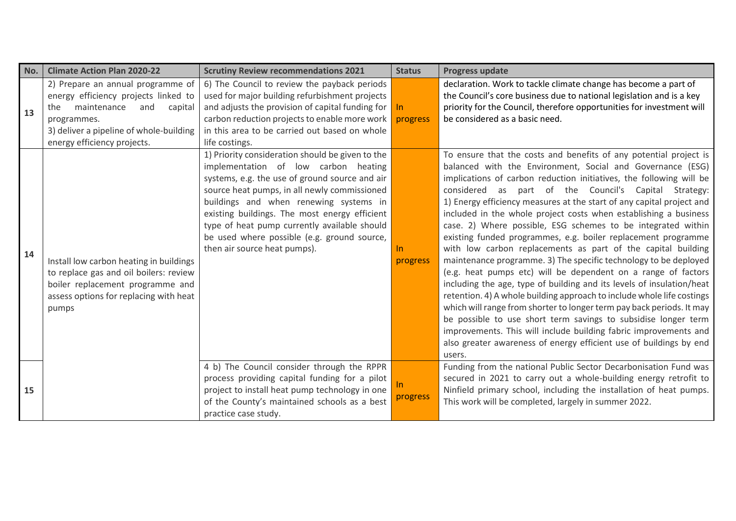| No. | <b>Climate Action Plan 2020-22</b>                                                                                                                                                                         | <b>Scrutiny Review recommendations 2021</b>                                                                                                                                                                                                                                                                                                                                                                          | <b>Status</b>     | <b>Progress update</b>                                                                                                                                                                                                                                                                                                                                                                                                                                                                                                                                                                                                                                                                                                                                                                                                                                                                                                                                                                                                                                                                                                                                                                                  |
|-----|------------------------------------------------------------------------------------------------------------------------------------------------------------------------------------------------------------|----------------------------------------------------------------------------------------------------------------------------------------------------------------------------------------------------------------------------------------------------------------------------------------------------------------------------------------------------------------------------------------------------------------------|-------------------|---------------------------------------------------------------------------------------------------------------------------------------------------------------------------------------------------------------------------------------------------------------------------------------------------------------------------------------------------------------------------------------------------------------------------------------------------------------------------------------------------------------------------------------------------------------------------------------------------------------------------------------------------------------------------------------------------------------------------------------------------------------------------------------------------------------------------------------------------------------------------------------------------------------------------------------------------------------------------------------------------------------------------------------------------------------------------------------------------------------------------------------------------------------------------------------------------------|
| 13  | 2) Prepare an annual programme of<br>energy efficiency projects linked to<br>maintenance<br>the<br>and<br>capital<br>programmes.<br>3) deliver a pipeline of whole-building<br>energy efficiency projects. | 6) The Council to review the payback periods<br>used for major building refurbishment projects<br>and adjusts the provision of capital funding for<br>carbon reduction projects to enable more work<br>in this area to be carried out based on whole<br>life costings.                                                                                                                                               | -In<br>progress   | declaration. Work to tackle climate change has become a part of<br>the Council's core business due to national legislation and is a key<br>priority for the Council, therefore opportunities for investment will<br>be considered as a basic need.                                                                                                                                                                                                                                                                                                                                                                                                                                                                                                                                                                                                                                                                                                                                                                                                                                                                                                                                                      |
| 14  | Install low carbon heating in buildings<br>to replace gas and oil boilers: review<br>boiler replacement programme and<br>assess options for replacing with heat<br>pumps                                   | 1) Priority consideration should be given to the<br>implementation of low carbon heating<br>systems, e.g. the use of ground source and air<br>source heat pumps, in all newly commissioned<br>buildings and when renewing systems in<br>existing buildings. The most energy efficient<br>type of heat pump currently available should<br>be used where possible (e.g. ground source,<br>then air source heat pumps). | $\ln$<br>progress | To ensure that the costs and benefits of any potential project is<br>balanced with the Environment, Social and Governance (ESG)<br>implications of carbon reduction initiatives, the following will be<br>part of the Council's Capital Strategy:<br>considered as<br>1) Energy efficiency measures at the start of any capital project and<br>included in the whole project costs when establishing a business<br>case. 2) Where possible, ESG schemes to be integrated within<br>existing funded programmes, e.g. boiler replacement programme<br>with low carbon replacements as part of the capital building<br>maintenance programme. 3) The specific technology to be deployed<br>(e.g. heat pumps etc) will be dependent on a range of factors<br>including the age, type of building and its levels of insulation/heat<br>retention. 4) A whole building approach to include whole life costings<br>which will range from shorter to longer term pay back periods. It may<br>be possible to use short term savings to subsidise longer term<br>improvements. This will include building fabric improvements and<br>also greater awareness of energy efficient use of buildings by end<br>users. |
| 15  |                                                                                                                                                                                                            | 4 b) The Council consider through the RPPR<br>process providing capital funding for a pilot<br>project to install heat pump technology in one<br>of the County's maintained schools as a best<br>practice case study.                                                                                                                                                                                                | In.<br>progress   | Funding from the national Public Sector Decarbonisation Fund was<br>secured in 2021 to carry out a whole-building energy retrofit to<br>Ninfield primary school, including the installation of heat pumps.<br>This work will be completed, largely in summer 2022.                                                                                                                                                                                                                                                                                                                                                                                                                                                                                                                                                                                                                                                                                                                                                                                                                                                                                                                                      |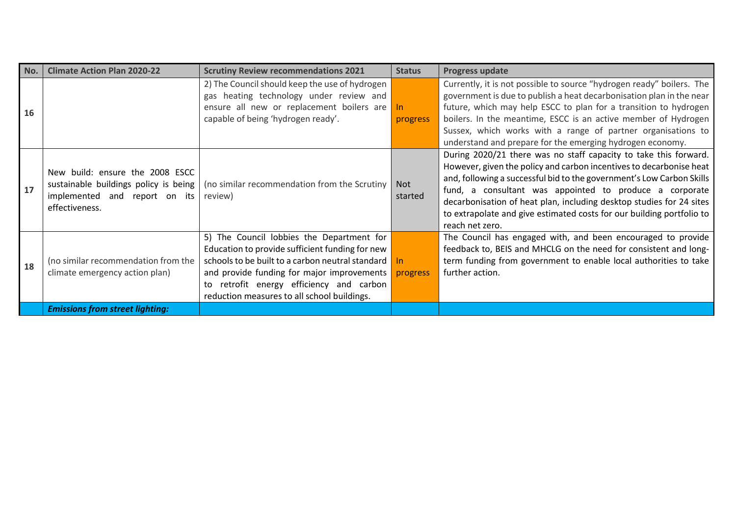| No. | <b>Climate Action Plan 2020-22</b>                                                                                          | <b>Scrutiny Review recommendations 2021</b>                                                                                                                                                                                                                                                           | <b>Status</b>     | <b>Progress update</b>                                                                                                                                                                                                                                                                                                                                                                                                                          |
|-----|-----------------------------------------------------------------------------------------------------------------------------|-------------------------------------------------------------------------------------------------------------------------------------------------------------------------------------------------------------------------------------------------------------------------------------------------------|-------------------|-------------------------------------------------------------------------------------------------------------------------------------------------------------------------------------------------------------------------------------------------------------------------------------------------------------------------------------------------------------------------------------------------------------------------------------------------|
| 16  |                                                                                                                             | 2) The Council should keep the use of hydrogen<br>gas heating technology under review and<br>ensure all new or replacement boilers are<br>capable of being 'hydrogen ready'.                                                                                                                          | $\ln$<br>progress | Currently, it is not possible to source "hydrogen ready" boilers. The<br>government is due to publish a heat decarbonisation plan in the near<br>future, which may help ESCC to plan for a transition to hydrogen<br>boilers. In the meantime, ESCC is an active member of Hydrogen<br>Sussex, which works with a range of partner organisations to<br>understand and prepare for the emerging hydrogen economy.                                |
| 17  | New build: ensure the 2008 ESCC<br>sustainable buildings policy is being<br>implemented and report on its<br>effectiveness. | (no similar recommendation from the Scrutiny<br>review)                                                                                                                                                                                                                                               | Not<br>started    | During 2020/21 there was no staff capacity to take this forward.<br>However, given the policy and carbon incentives to decarbonise heat<br>and, following a successful bid to the government's Low Carbon Skills<br>fund, a consultant was appointed to produce a corporate<br>decarbonisation of heat plan, including desktop studies for 24 sites<br>to extrapolate and give estimated costs for our building portfolio to<br>reach net zero. |
| 18  | (no similar recommendation from the<br>climate emergency action plan)                                                       | 5) The Council lobbies the Department for<br>Education to provide sufficient funding for new<br>schools to be built to a carbon neutral standard In<br>and provide funding for major improvements progress<br>to retrofit energy efficiency and carbon<br>reduction measures to all school buildings. |                   | The Council has engaged with, and been encouraged to provide<br>feedback to, BEIS and MHCLG on the need for consistent and long-<br>term funding from government to enable local authorities to take<br>further action.                                                                                                                                                                                                                         |
|     | <b>Emissions from street lighting:</b>                                                                                      |                                                                                                                                                                                                                                                                                                       |                   |                                                                                                                                                                                                                                                                                                                                                                                                                                                 |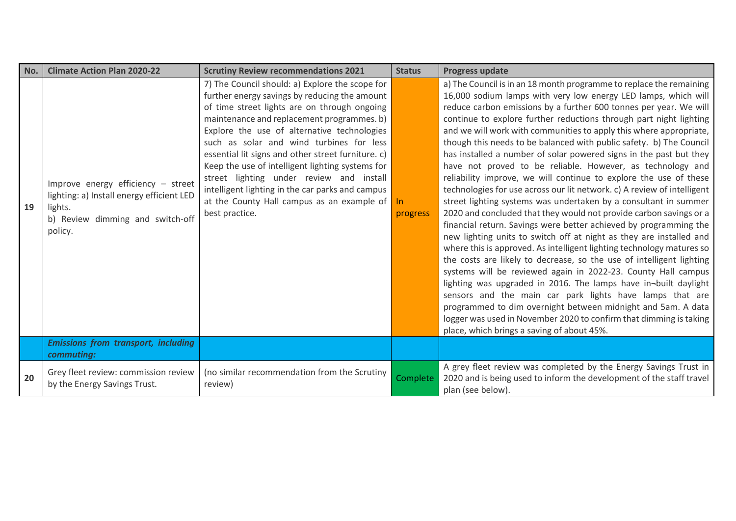| No. | <b>Climate Action Plan 2020-22</b>                                                                                                        | <b>Scrutiny Review recommendations 2021</b>                                                                                                                                                                                                                                                                                                                                                                                                                                                                                                                         | <b>Status</b>     | <b>Progress update</b>                                                                                                                                                                                                                                                                                                                                                                                                                                                                                                                                                                                                                                                                                                                                                                                                                                                                                                                                                                                                                                                                                                                                                                                                                                                                                                                                                                                                                                                                                                                       |
|-----|-------------------------------------------------------------------------------------------------------------------------------------------|---------------------------------------------------------------------------------------------------------------------------------------------------------------------------------------------------------------------------------------------------------------------------------------------------------------------------------------------------------------------------------------------------------------------------------------------------------------------------------------------------------------------------------------------------------------------|-------------------|----------------------------------------------------------------------------------------------------------------------------------------------------------------------------------------------------------------------------------------------------------------------------------------------------------------------------------------------------------------------------------------------------------------------------------------------------------------------------------------------------------------------------------------------------------------------------------------------------------------------------------------------------------------------------------------------------------------------------------------------------------------------------------------------------------------------------------------------------------------------------------------------------------------------------------------------------------------------------------------------------------------------------------------------------------------------------------------------------------------------------------------------------------------------------------------------------------------------------------------------------------------------------------------------------------------------------------------------------------------------------------------------------------------------------------------------------------------------------------------------------------------------------------------------|
| 19  | Improve energy efficiency - street<br>lighting: a) Install energy efficient LED<br>lights.<br>b) Review dimming and switch-off<br>policy. | 7) The Council should: a) Explore the scope for<br>further energy savings by reducing the amount<br>of time street lights are on through ongoing<br>maintenance and replacement programmes. b)<br>Explore the use of alternative technologies<br>such as solar and wind turbines for less<br>essential lit signs and other street furniture. c)<br>Keep the use of intelligent lighting systems for<br>street lighting under review and install<br>intelligent lighting in the car parks and campus<br>at the County Hall campus as an example of<br>best practice. | $\ln$<br>progress | a) The Council is in an 18 month programme to replace the remaining<br>16,000 sodium lamps with very low energy LED lamps, which will<br>reduce carbon emissions by a further 600 tonnes per year. We will<br>continue to explore further reductions through part night lighting<br>and we will work with communities to apply this where appropriate,<br>though this needs to be balanced with public safety. b) The Council<br>has installed a number of solar powered signs in the past but they<br>have not proved to be reliable. However, as technology and<br>reliability improve, we will continue to explore the use of these<br>technologies for use across our lit network. c) A review of intelligent<br>street lighting systems was undertaken by a consultant in summer<br>2020 and concluded that they would not provide carbon savings or a<br>financial return. Savings were better achieved by programming the<br>new lighting units to switch off at night as they are installed and<br>where this is approved. As intelligent lighting technology matures so<br>the costs are likely to decrease, so the use of intelligent lighting<br>systems will be reviewed again in 2022-23. County Hall campus<br>lighting was upgraded in 2016. The lamps have in-built daylight<br>sensors and the main car park lights have lamps that are<br>programmed to dim overnight between midnight and 5am. A data<br>logger was used in November 2020 to confirm that dimming is taking<br>place, which brings a saving of about 45%. |
|     | <b>Emissions from transport, including</b><br>commuting:                                                                                  |                                                                                                                                                                                                                                                                                                                                                                                                                                                                                                                                                                     |                   |                                                                                                                                                                                                                                                                                                                                                                                                                                                                                                                                                                                                                                                                                                                                                                                                                                                                                                                                                                                                                                                                                                                                                                                                                                                                                                                                                                                                                                                                                                                                              |
| 20  | Grey fleet review: commission review<br>by the Energy Savings Trust.                                                                      | (no similar recommendation from the Scrutiny<br>review)                                                                                                                                                                                                                                                                                                                                                                                                                                                                                                             | <b>Complete</b>   | A grey fleet review was completed by the Energy Savings Trust in<br>2020 and is being used to inform the development of the staff travel<br>plan (see below).                                                                                                                                                                                                                                                                                                                                                                                                                                                                                                                                                                                                                                                                                                                                                                                                                                                                                                                                                                                                                                                                                                                                                                                                                                                                                                                                                                                |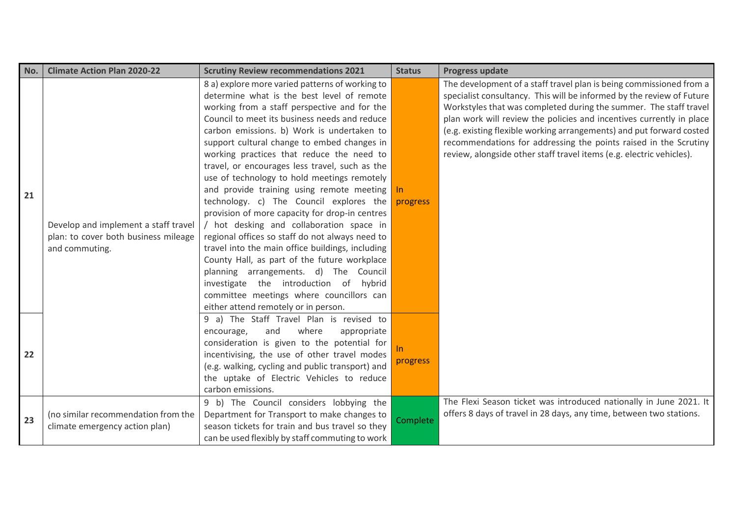| No. | <b>Climate Action Plan 2020-22</b>                                                             | <b>Scrutiny Review recommendations 2021</b>                                                                                                                                                                                                                                                                                                                                                                                                                                                                                                                                                                                                                                                                                                                                                                                                                               | <b>Status</b>   | <b>Progress update</b>                                                                                                                                                                                                                                                                                                                                                                                                                                                                                        |
|-----|------------------------------------------------------------------------------------------------|---------------------------------------------------------------------------------------------------------------------------------------------------------------------------------------------------------------------------------------------------------------------------------------------------------------------------------------------------------------------------------------------------------------------------------------------------------------------------------------------------------------------------------------------------------------------------------------------------------------------------------------------------------------------------------------------------------------------------------------------------------------------------------------------------------------------------------------------------------------------------|-----------------|---------------------------------------------------------------------------------------------------------------------------------------------------------------------------------------------------------------------------------------------------------------------------------------------------------------------------------------------------------------------------------------------------------------------------------------------------------------------------------------------------------------|
| 21  | Develop and implement a staff travel<br>plan: to cover both business mileage<br>and commuting. | 8 a) explore more varied patterns of working to<br>determine what is the best level of remote<br>working from a staff perspective and for the<br>Council to meet its business needs and reduce<br>carbon emissions. b) Work is undertaken to<br>support cultural change to embed changes in<br>working practices that reduce the need to<br>travel, or encourages less travel, such as the<br>use of technology to hold meetings remotely<br>and provide training using remote meeting<br>technology. c) The Council explores the<br>provision of more capacity for drop-in centres<br>/ hot desking and collaboration space in<br>regional offices so staff do not always need to<br>travel into the main office buildings, including<br>County Hall, as part of the future workplace<br>planning arrangements. d) The Council<br>investigate the introduction of hybrid | In.<br>progress | The development of a staff travel plan is being commissioned from a<br>specialist consultancy. This will be informed by the review of Future<br>Workstyles that was completed during the summer. The staff travel<br>plan work will review the policies and incentives currently in place<br>(e.g. existing flexible working arrangements) and put forward costed<br>recommendations for addressing the points raised in the Scrutiny<br>review, alongside other staff travel items (e.g. electric vehicles). |
| 22  |                                                                                                | committee meetings where councillors can<br>either attend remotely or in person.<br>9 a) The Staff Travel Plan is revised to<br>where<br>encourage,<br>and<br>appropriate<br>consideration is given to the potential for<br>incentivising, the use of other travel modes<br>(e.g. walking, cycling and public transport) and<br>the uptake of Electric Vehicles to reduce<br>carbon emissions.                                                                                                                                                                                                                                                                                                                                                                                                                                                                            | progress        |                                                                                                                                                                                                                                                                                                                                                                                                                                                                                                               |
| 23  | (no similar recommendation from the<br>climate emergency action plan)                          | 9 b) The Council considers lobbying the<br>Department for Transport to make changes to<br>season tickets for train and bus travel so they<br>can be used flexibly by staff commuting to work                                                                                                                                                                                                                                                                                                                                                                                                                                                                                                                                                                                                                                                                              | Complete        | The Flexi Season ticket was introduced nationally in June 2021. It<br>offers 8 days of travel in 28 days, any time, between two stations.                                                                                                                                                                                                                                                                                                                                                                     |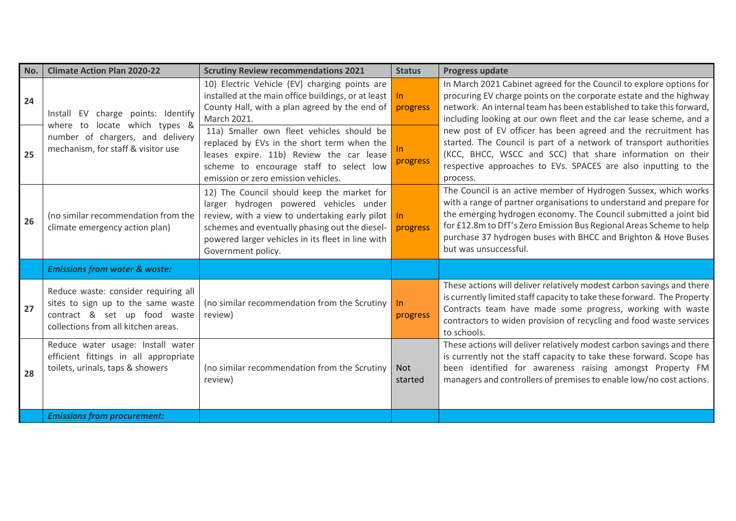| No. | <b>Climate Action Plan 2020-22</b>                                                                                                                | <b>Scrutiny Review recommendations 2021</b>                                                                                                                                                                                                                         | <b>Status</b>         | <b>Progress update</b>                                                                                                                                                                                                                                                                                                                                                       |
|-----|---------------------------------------------------------------------------------------------------------------------------------------------------|---------------------------------------------------------------------------------------------------------------------------------------------------------------------------------------------------------------------------------------------------------------------|-----------------------|------------------------------------------------------------------------------------------------------------------------------------------------------------------------------------------------------------------------------------------------------------------------------------------------------------------------------------------------------------------------------|
| 24  | Install EV charge points: Identify                                                                                                                | 10) Electric Vehicle (EV) charging points are<br>installed at the main office buildings, or at least<br>County Hall, with a plan agreed by the end of<br>March 2021.                                                                                                | In.<br>progress       | In March 2021 Cabinet agreed for the Council to explore options for<br>procuring EV charge points on the corporate estate and the highway<br>network. An internal team has been established to take this forward,<br>including looking at our own fleet and the car lease scheme, and a                                                                                      |
| 25  | where to locate which types &<br>number of chargers, and delivery<br>mechanism, for staff & visitor use                                           | 11a) Smaller own fleet vehicles should be<br>replaced by EVs in the short term when the<br>leases expire. 11b) Review the car lease<br>scheme to encourage staff to select low<br>emission or zero emission vehicles.                                               | progress              | new post of EV officer has been agreed and the recruitment has<br>started. The Council is part of a network of transport authorities<br>(KCC, BHCC, WSCC and SCC) that share information on their<br>respective approaches to EVs. SPACES are also inputting to the<br>process.                                                                                              |
| 26  | (no similar recommendation from the<br>climate emergency action plan)                                                                             | 12) The Council should keep the market for<br>larger hydrogen powered vehicles under<br>review, with a view to undertaking early pilot<br>schemes and eventually phasing out the diesel-<br>powered larger vehicles in its fleet in line with<br>Government policy. | In.<br>progress       | The Council is an active member of Hydrogen Sussex, which works<br>with a range of partner organisations to understand and prepare for<br>the emerging hydrogen economy. The Council submitted a joint bid<br>for £12.8m to DfT's Zero Emission Bus Regional Areas Scheme to help<br>purchase 37 hydrogen buses with BHCC and Brighton & Hove Buses<br>but was unsuccessful. |
|     | <b>Emissions from water &amp; waste:</b>                                                                                                          |                                                                                                                                                                                                                                                                     |                       |                                                                                                                                                                                                                                                                                                                                                                              |
| 27  | Reduce waste: consider requiring all<br>sites to sign up to the same waste<br>contract & set up food waste<br>collections from all kitchen areas. | (no similar recommendation from the Scrutiny<br>review)                                                                                                                                                                                                             | In<br>progress        | These actions will deliver relatively modest carbon savings and there<br>is currently limited staff capacity to take these forward. The Property<br>Contracts team have made some progress, working with waste<br>contractors to widen provision of recycling and food waste services<br>to schools.                                                                         |
| 28  | Reduce water usage: Install water<br>efficient fittings in all appropriate<br>toilets, urinals, taps & showers                                    | (no similar recommendation from the Scrutiny<br>review)                                                                                                                                                                                                             | <b>Not</b><br>started | These actions will deliver relatively modest carbon savings and there<br>is currently not the staff capacity to take these forward. Scope has<br>been identified for awareness raising amongst Property FM<br>managers and controllers of premises to enable low/no cost actions.                                                                                            |
|     | <b>Emissions from procurement:</b>                                                                                                                |                                                                                                                                                                                                                                                                     |                       |                                                                                                                                                                                                                                                                                                                                                                              |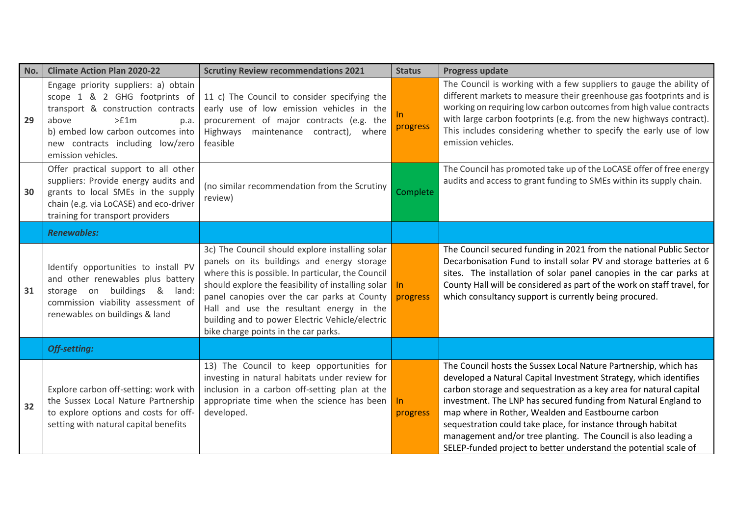| No. | <b>Climate Action Plan 2020-22</b>                                                                                                                                                                                                  | <b>Scrutiny Review recommendations 2021</b>                                                                                                                                                                                                                                                                                                                                                     | <b>Status</b>   | <b>Progress update</b>                                                                                                                                                                                                                                                                                                                                                                                                                                                                                                                     |
|-----|-------------------------------------------------------------------------------------------------------------------------------------------------------------------------------------------------------------------------------------|-------------------------------------------------------------------------------------------------------------------------------------------------------------------------------------------------------------------------------------------------------------------------------------------------------------------------------------------------------------------------------------------------|-----------------|--------------------------------------------------------------------------------------------------------------------------------------------------------------------------------------------------------------------------------------------------------------------------------------------------------------------------------------------------------------------------------------------------------------------------------------------------------------------------------------------------------------------------------------------|
| 29  | Engage priority suppliers: a) obtain<br>scope 1 & 2 GHG footprints of<br>transport & construction contracts<br>>£1m<br>above<br>p.a.<br>b) embed low carbon outcomes into<br>new contracts including low/zero<br>emission vehicles. | 11 c) The Council to consider specifying the<br>early use of low emission vehicles in the<br>procurement of major contracts (e.g. the<br>Highways maintenance contract), where<br>feasible                                                                                                                                                                                                      | In.<br>progress | The Council is working with a few suppliers to gauge the ability of<br>different markets to measure their greenhouse gas footprints and is<br>working on requiring low carbon outcomes from high value contracts<br>with large carbon footprints (e.g. from the new highways contract).<br>This includes considering whether to specify the early use of low<br>emission vehicles.                                                                                                                                                         |
| 30  | Offer practical support to all other<br>suppliers: Provide energy audits and<br>grants to local SMEs in the supply<br>chain (e.g. via LoCASE) and eco-driver<br>training for transport providers                                    | (no similar recommendation from the Scrutiny<br>review)                                                                                                                                                                                                                                                                                                                                         | Complete        | The Council has promoted take up of the LoCASE offer of free energy<br>audits and access to grant funding to SMEs within its supply chain.                                                                                                                                                                                                                                                                                                                                                                                                 |
|     | <b>Renewables:</b>                                                                                                                                                                                                                  |                                                                                                                                                                                                                                                                                                                                                                                                 |                 |                                                                                                                                                                                                                                                                                                                                                                                                                                                                                                                                            |
| 31  | Identify opportunities to install PV<br>and other renewables plus battery<br>storage on buildings & land:<br>commission viability assessment of<br>renewables on buildings & land                                                   | 3c) The Council should explore installing solar<br>panels on its buildings and energy storage<br>where this is possible. In particular, the Council<br>should explore the feasibility of installing solar<br>panel canopies over the car parks at County<br>Hall and use the resultant energy in the<br>building and to power Electric Vehicle/electric<br>bike charge points in the car parks. | In.<br>progress | The Council secured funding in 2021 from the national Public Sector<br>Decarbonisation Fund to install solar PV and storage batteries at 6<br>sites. The installation of solar panel canopies in the car parks at<br>County Hall will be considered as part of the work on staff travel, for<br>which consultancy support is currently being procured.                                                                                                                                                                                     |
|     | Off-setting:                                                                                                                                                                                                                        |                                                                                                                                                                                                                                                                                                                                                                                                 |                 |                                                                                                                                                                                                                                                                                                                                                                                                                                                                                                                                            |
| 32  | Explore carbon off-setting: work with<br>the Sussex Local Nature Partnership<br>to explore options and costs for off-<br>setting with natural capital benefits                                                                      | 13) The Council to keep opportunities for<br>investing in natural habitats under review for<br>inclusion in a carbon off-setting plan at the<br>appropriate time when the science has been<br>developed.                                                                                                                                                                                        | In.<br>progress | The Council hosts the Sussex Local Nature Partnership, which has<br>developed a Natural Capital Investment Strategy, which identifies<br>carbon storage and sequestration as a key area for natural capital<br>investment. The LNP has secured funding from Natural England to<br>map where in Rother, Wealden and Eastbourne carbon<br>sequestration could take place, for instance through habitat<br>management and/or tree planting. The Council is also leading a<br>SELEP-funded project to better understand the potential scale of |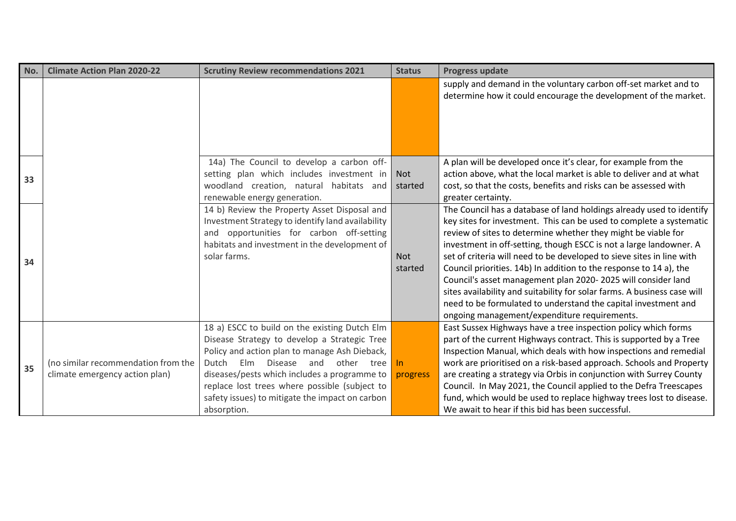| No. | <b>Climate Action Plan 2020-22</b>                                    | <b>Scrutiny Review recommendations 2021</b>                                                                                                                                                                                                                                                                                                                    | <b>Status</b>         | <b>Progress update</b>                                                                                                                                                                                                                                                                                                                                                                                                                                                                                                                                                                                                                                                                          |
|-----|-----------------------------------------------------------------------|----------------------------------------------------------------------------------------------------------------------------------------------------------------------------------------------------------------------------------------------------------------------------------------------------------------------------------------------------------------|-----------------------|-------------------------------------------------------------------------------------------------------------------------------------------------------------------------------------------------------------------------------------------------------------------------------------------------------------------------------------------------------------------------------------------------------------------------------------------------------------------------------------------------------------------------------------------------------------------------------------------------------------------------------------------------------------------------------------------------|
|     |                                                                       |                                                                                                                                                                                                                                                                                                                                                                |                       | supply and demand in the voluntary carbon off-set market and to<br>determine how it could encourage the development of the market.                                                                                                                                                                                                                                                                                                                                                                                                                                                                                                                                                              |
| 33  |                                                                       | 14a) The Council to develop a carbon off-<br>setting plan which includes investment in<br>woodland creation, natural habitats and<br>renewable energy generation.                                                                                                                                                                                              | <b>Not</b><br>started | A plan will be developed once it's clear, for example from the<br>action above, what the local market is able to deliver and at what<br>cost, so that the costs, benefits and risks can be assessed with<br>greater certainty.                                                                                                                                                                                                                                                                                                                                                                                                                                                                  |
| 34  |                                                                       | 14 b) Review the Property Asset Disposal and<br>Investment Strategy to identify land availability<br>and opportunities for carbon off-setting<br>habitats and investment in the development of<br>solar farms.                                                                                                                                                 | <b>Not</b><br>started | The Council has a database of land holdings already used to identify<br>key sites for investment. This can be used to complete a systematic<br>review of sites to determine whether they might be viable for<br>investment in off-setting, though ESCC is not a large landowner. A<br>set of criteria will need to be developed to sieve sites in line with<br>Council priorities. 14b) In addition to the response to 14 a), the<br>Council's asset management plan 2020-2025 will consider land<br>sites availability and suitability for solar farms. A business case will<br>need to be formulated to understand the capital investment and<br>ongoing management/expenditure requirements. |
| 35  | (no similar recommendation from the<br>climate emergency action plan) | 18 a) ESCC to build on the existing Dutch Elm<br>Disease Strategy to develop a Strategic Tree<br>Policy and action plan to manage Ash Dieback,<br>Dutch<br>Elm Disease<br>and<br>other tree<br>diseases/pests which includes a programme to<br>replace lost trees where possible (subject to<br>safety issues) to mitigate the impact on carbon<br>absorption. | In.<br>progress       | East Sussex Highways have a tree inspection policy which forms<br>part of the current Highways contract. This is supported by a Tree<br>Inspection Manual, which deals with how inspections and remedial<br>work are prioritised on a risk-based approach. Schools and Property<br>are creating a strategy via Orbis in conjunction with Surrey County<br>Council. In May 2021, the Council applied to the Defra Treescapes<br>fund, which would be used to replace highway trees lost to disease.<br>We await to hear if this bid has been successful.                                                                                                                                         |